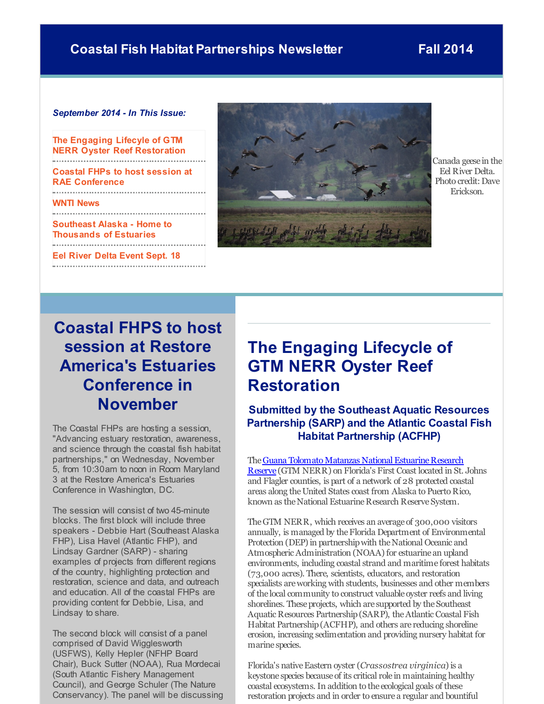### <span id="page-0-0"></span>**Coastal Fish Habitat Partnerships Newsletter Fall 2014**

### *September 2014 - In This Issue:*

**The Engaging Lifecyle of GTM NERR Oyster Reef [Restoration](#page-0-0)**

**Coastal FHPs to host session at RAE [Conference](#page-0-0)**

**WNTI [News](#page-0-0)**

**Southeast Alaska - Home to [Thousands](#page-0-0) of Estuaries**

**Eel River Delta [Event](#page-0-0) Sept. 18** 



Canada geese in the Eel River Delta. Photo credit: Dave Erickson.

## **Coastal FHPS to host session at Restore America's Estuaries Conference in November**

The Coastal FHPs are hosting a session, "Advancing estuary restoration, awareness, and science through the coastal fish habitat partnerships," on Wednesday, November 5, from 10:30am to noon in Room Maryland 3 at the Restore America's Estuaries Conference in Washington, DC.

The session will consist of two 45-minute blocks. The first block will include three speakers - Debbie Hart (Southeast Alaska FHP), Lisa Havel (Atlantic FHP), and Lindsay Gardner (SARP) - sharing examples of projects from different regions of the country, highlighting protection and restoration, science and data, and outreach and education. All of the coastal FHPs are providing content for Debbie, Lisa, and Lindsay to share.

The second block will consist of a panel comprised of David Wigglesworth (USFWS), Kelly Hepler (NFHP Board Chair), Buck Sutter (NOAA), Rua Mordecai (South Atlantic Fishery Management Council), and George Schuler (The Nature Conservancy). The panel will be discussing

### **The Engaging Lifecycle of GTM NERR Oyster Reef Restoration**

**Submitted by the Southeast Aquatic Resources Partnership (SARP) and the Atlantic Coastal Fish Habitat Partnership (ACFHP)**

The Guana Tolomato Matanzas National Estuarine Research Reserve (GTM NERR) on Florida's First Coast located in St. Johns and Flagler counties, is part of a network of 28 protected coastal areas along the United States coast from Alaska to Puerto Rico, known as the National Estuarine Research Reserve System.

TheGTM NERR, which receives an average of 300,000 visitors annually, is managed by theFlorida Department of Environmental Protection (DEP) in partnership with the National Oceanic and Atmospheric Administration (NOAA) for estuarine an upland environments, including coastal strand and maritime forest habitats (73,000 acres). There, scientists, educators, and restoration specialists areworking with students, businesses and other members of the local community to construct valuable oyster reefs and living shorelines. These projects, which are supported by the Southeast Aquatic Resources Partnership (SARP), the Atlantic Coastal Fish Habitat Partnership(ACFHP), and others are reducing shoreline erosion, increasing sedimentation and providing nursery habitat for marine species.

Florida's nativeEastern oyster (*Crassostrea virginica*)is a keystone species because of its critical role in maintaining healthy coastal ecosystems. In addition to the ecological goals of these restoration projects and in order to ensure a regular and bountiful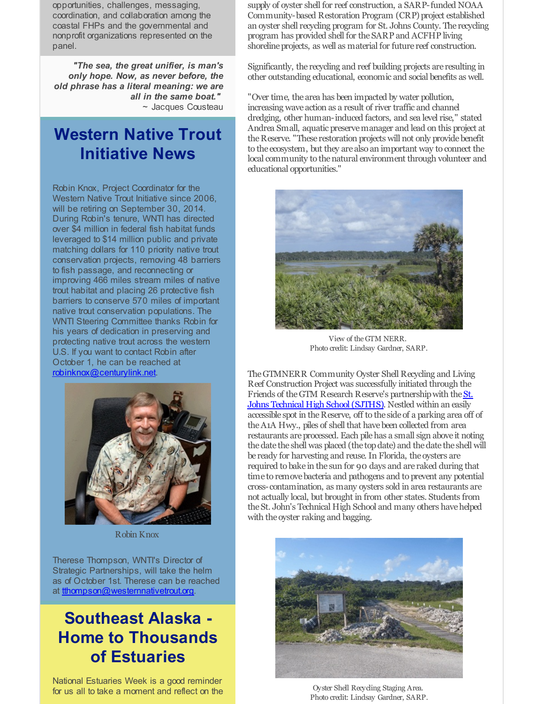opportunities, challenges, messaging, coordination, and collaboration among the coastal FHPs and the governmental and nonprofit organizations represented on the panel.

*"The sea, the great unifier, is man's only hope. Now, as never before, the old phrase has a literal meaning: we are all in the same boat."* ~ Jacques Cousteau

### **Western Native Trout Initiative News**

Robin Knox, Project Coordinator for the Western Native Trout Initiative since 2006, will be retiring on September 30, 2014. During Robin's tenure, WNTI has directed over \$4 million in federal fish habitat funds leveraged to \$14 million public and private matching dollars for 110 priority native trout conservation projects, removing 48 barriers to fish passage, and reconnecting or improving 466 miles stream miles of native trout habitat and placing 26 protective fish barriers to conserve 570 miles of important native trout conservation populations. The WNTI Steering Committee thanks Robin for his years of dedication in preserving and protecting native trout across the western U.S. If you want to contact Robin after October 1, he can be reached at [robinknox@centurylink.net](mailto:robinknox@centurylink.net).



Robin Knox

Therese Thompson, WNTI's Director of Strategic Partnerships, will take the helm as of October 1st. Therese can be reached at [tthompson@westernnativetrout.org](mailto:tthompson@westernnativetrout.org).

### **Southeast Alaska - Home to Thousands of Estuaries**

National Estuaries Week is a good reminder for us all to take a moment and reflect on the

supply of oyster shell for reef construction, a SARP-funded NOAA Community-based Restoration Program (CRP) project established an oyster shell recycling program for St. Johns County. The recycling program has provided shell for theSARP and ACFHP living shoreline projects, as well as material for future reef construction.

Significantly, the recycling and reef building projects are resulting in other outstanding educational, economic and social benefits as well.

"Over time, the area has been impacted by water pollution, increasing wave action as a result of river traffic and channel dredging, other human-induced factors, and sea level rise," stated Andrea Small, aquatic preservemanager and lead on this project at the Reserve. "These restoration projects will not only provide benefit to the ecosystem, but they are also an important way to connect the local community to thenatural environment through volunteer and educational opportunities."



View of the GTM NERR. Photo credit: Lindsay Gardner, SARP.

TheGTMNERR Community Oyster Shell Recycling and Living Reef Construction Project was successfully initiated through the Friends of the GTM Research Reserve's partnership with the St. Johns Technical High School (SJTHS). Nestled within an easily accessible spot in theReserve, off to the side of a parking area off of theA1A Hwy., piles of shell that havebeen collected from area restaurants areprocessed. Each pilehas a small sign above it noting the date the shell was placed (the top date) and the date the shell will be ready for harvesting and reuse. In Florida, the oysters are required to bake in the sun for 90 days and are raked during that time to remove bacteria and pathogens and to prevent any potential cross-contamination, as many oysters sold in area restaurants are not actually local, but brought in from other states. Students from the St. John's Technical High School and many others have helped with the oyster raking and bagging.



Oyster Shell Recycling Staging Area. Photo credit: Lindsay Gardner, SARP.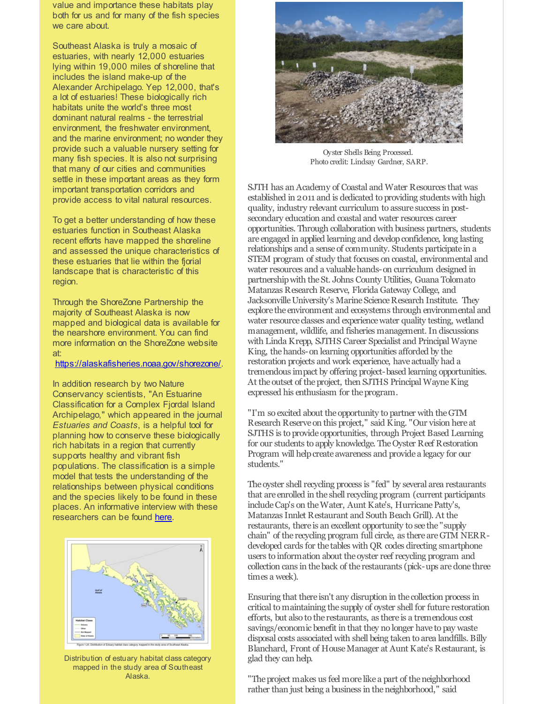value and importance these habitats play both for us and for many of the fish species we care about.

Southeast Alaska is truly a mosaic of estuaries, with nearly 12,000 estuaries lying within 19,000 miles of shoreline that includes the island make-up of the Alexander Archipelago. Yep 12,000, that's a lot of estuaries! These biologically rich habitats unite the world's three most dominant natural realms - the terrestrial environment, the freshwater environment, and the marine environment; no wonder they provide such a valuable nursery setting for many fish species. It is also not surprising that many of our cities and communities settle in these important areas as they form important transportation corridors and provide access to vital natural resources.

To get a better understanding of how these estuaries function in Southeast Alaska recent efforts have mapped the shoreline and assessed the unique characteristics of these estuaries that lie within the fiorial landscape that is characteristic of this region.

Through the ShoreZone Partnership the majority of Southeast Alaska is now mapped and biological data is available for the nearshore environment. You can find more information on the ShoreZone website at:

#### [https://alaskafisheries.noaa.gov/shorezone/](http://r20.rs6.net/tn.jsp?f=001stPDcEFbPstr2ymCnfv0Pq4qopRPr0ES1-l6ex3IJi8NXt2VX3nYODSsABam1uOy6Av61uoXEpJLaDvNY12cwsXnJaTbIvH9MpMT1UzyG7rF6QgFJyrqZmnqqkjs_rDX-IMKKVeYRXRSV965NZLdoYPRql2wH_FkDL9DNxmTi5bQb649l8X_-NQ9TEzms36jbPyp1eS0N7s=&c=&ch=).

In addition research by two Nature Conservancy scientists, "An Estuarine Classification for a Complex Fjordal Island Archipelago," which appeared in the journal *Estuaries and Coasts*, is a helpful tool for planning how to conserve these biologically rich habitats in a region that currently supports healthy and vibrant fish populations. The classification is a simple model that tests the understanding of the relationships between physical conditions and the species likely to be found in these places. An informative interview with these researchers can be found [here](http://r20.rs6.net/tn.jsp?f=001stPDcEFbPstr2ymCnfv0Pq4qopRPr0ES1-l6ex3IJi8NXt2VX3nYODSsABam1uOygfBO2jbvZnPy409CY3EEuEmpNgFVMVmueXQ10QgJK4YQ0h3t5c-vkxnyqhVujEXnZBAxh1yQWUAvae3LXzbz8nhdbjz5svE2BoWip_EEqrTkkanc0vrwlOxMbG5BOILXCgbm4_VBceSvR20_0tAotJDCqBdN-EjbCGmkQMwdEI1zFfmWceUGj1hqvYpcaokiSMJirVk0srw=&c=&ch=).



Distribution of estuary habitat class category mapped in the study area of Southeast Alaska.



Oyster Shells Being Processed. Photo credit: Lindsay Gardner, SARP.

SJTH has an Academy of Coastal and Water Resources that was established in 2011 and is dedicated to providing students with high quality, industry relevant curriculum to assure success in postsecondary education and coastal and water resources career opportunities. Through collaboration with business partners, students are engaged in applied learning and developconfidence, long lasting relationships and a sense of community. Students participate in a STEM program of study that focuses on coastal, environmental and water resources and a valuable hands-on curriculum designed in partnershipwith theSt. Johns County Utilities, Guana Tolomato Matanzas Research Reserve, Florida Gateway College, and Jacksonville University's Marine Science Research Institute. They explore the environment and ecosystems through environmental and water resource classes and experience water quality testing, wetland management, wildlife, and fisheries management. In discussions with Linda Krepp, SJTHS Career Specialist and Principal Wayne King, the hands-on learning opportunities afforded by the restoration projects and work experience, have actually had a tremendous impact by offering project-based learning opportunities. At the outset of the project, then SJTHS Principal Wayne King expressed his enthusiasm for theprogram.

"I'm so excited about the opportunity to partner with theGTM Research Reserve on this project," said King. "Our vision here at SJTHS is to provide opportunities, through Project Based Learning for our students to apply knowledge. TheOyster Reef Restoration Program will help create awareness and provide a legacy for our students."

The oyster shell recycling process is "fed" by several area restaurants that are enrolled in the shell recycling program (current participants include Cap's on the Water, Aunt Kate's, Hurricane Patty's, Matanzas Innlet Restaurant and South Beach Grill). At the restaurants, there is an excellent opportunity to see the "supply chain" of the recycling program full circle, as there areGTM NERRdeveloped cards for the tables with QR codes directing smartphone users to information about the oyster reef recycling program and collection cans in theback of the restaurants (pick-ups aredone three times a week).

Ensuring that there isn't any disruption in the collection process in critical to maintaining the supply of oyster shell for future restoration efforts, but also to the restaurants, as there is a tremendous cost savings/economic benefit in that they no longer have to pay waste disposal costs associated with shell being taken to area landfills. Billy Blanchard, Front of HouseManager at Aunt Kate's Restaurant, is glad they can help.

"The project makes us feel more like a part of the neighborhood rather than just being a business in theneighborhood," said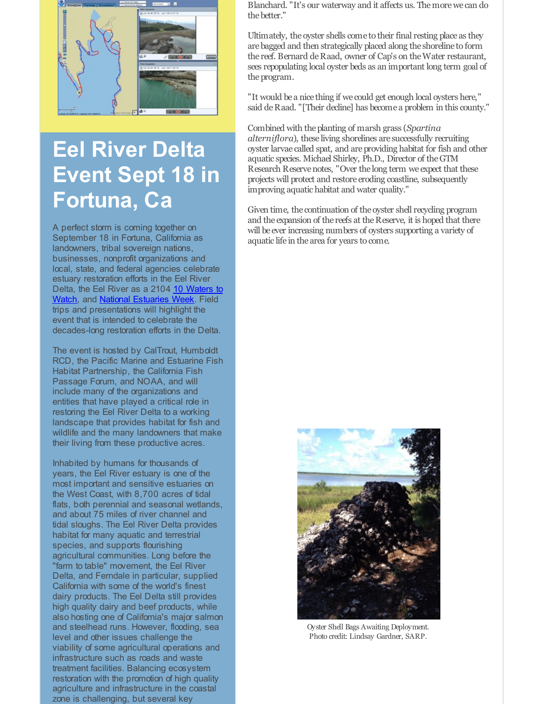

# **Eel River Delta Event Sept 18 in Fortuna, Ca**

A perfect storm is coming together on September 18 in Fortuna, California as landowners, tribal sovereign nations, businesses, nonprofit organizations and local, state, and federal agencies celebrate estuary restoration efforts in the Eel River Delta, the Eel River as a 2104 10 Waters to Watch, and National [Estuaries](http://r20.rs6.net/tn.jsp?f=001stPDcEFbPstr2ymCnfv0Pq4qopRPr0ES1-l6ex3IJi8NXt2VX3nYODSsABam1uOyA8-N5jyp5rS3ZR2gYEI2Ykh0D9am2EpCCURphDHbHlXJe-mkSaC6iLH4I_bJzPgiOqouFXvuzVyQBR1iaUd4JELstqB6iL3zdaQwwFukpN2eOy77rVCPL6wnq47dkG4eZAG3TAn5KbInXUX_vb8t9ZjCiOFL5blE&c=&ch=) Week. Field trips and presentations will highlight the event that is intended to celebrate the decades-long restoration efforts in the Delta.

The event is hosted by CalTrout, Humboldt RCD, the Pacific Marine and Estuarine Fish Habitat Partnership, the California Fish Passage Forum, and NOAA, and will include many of the organizations and entities that have played a critical role in restoring the Eel River Delta to a working landscape that provides habitat for fish and wildlife and the many landowners that make their living from these productive acres.

Inhabited by humans for thousands of years, the Eel River estuary is one of the most important and sensitive estuaries on the West Coast, with 8,700 acres of tidal flats, both perennial and seasonal wetlands, and about 75 miles of river channel and tidal sloughs. The Eel River Delta provides habitat for many aquatic and terrestrial species, and supports flourishing agricultural communities. Long before the "farm to table" movement, the Eel River Delta, and Ferndale in particular, supplied California with some of the world's finest dairy products. The Eel Delta still provides high quality dairy and beef products, while also hosting one of California's major salmon and steelhead runs. However, flooding, sea level and other issues challenge the viability of some agricultural operations and infrastructure such as roads and waste treatment facilities. Balancing ecosystem restoration with the promotion of high quality agriculture and infrastructure in the coastal zone is challenging, but several key

Blanchard. "It's our waterway and it affects us. Themorewe can do thebetter."

Ultimately, the oyster shells come to their final resting place as they arebagged and then strategically placed along the shoreline to form the reef. Bernard de Raad, owner of Cap's on the Water restaurant, sees repopulating local oyster beds as an important long term goal of the program.

"It would be a nice thing if we could get enough local oysters here," said de Raad. "[Their decline] has become a problem in this county."

Combined with theplanting of marsh grass (*Spartina alterniflora*), these living shorelines are successfully recruiting oyster larvae called spat, and areproviding habitat for fish and other aquatic species. Michael Shirley, Ph.D., Director of theGTM Research Reservenotes, "Over the long term we expect that these projects will protect and restore eroding coastline, subsequently improving aquatic habitat and water quality."

Given time, the continuation of the oyster shell recycling program and the expansion of the reefs at the Reserve, it is hoped that there will be ever increasing numbers of oysters supporting a variety of aquatic life in the area for years to come.



Oyster Shell Bags Awaiting Deployment. Photo credit: Lindsay Gardner, SARP.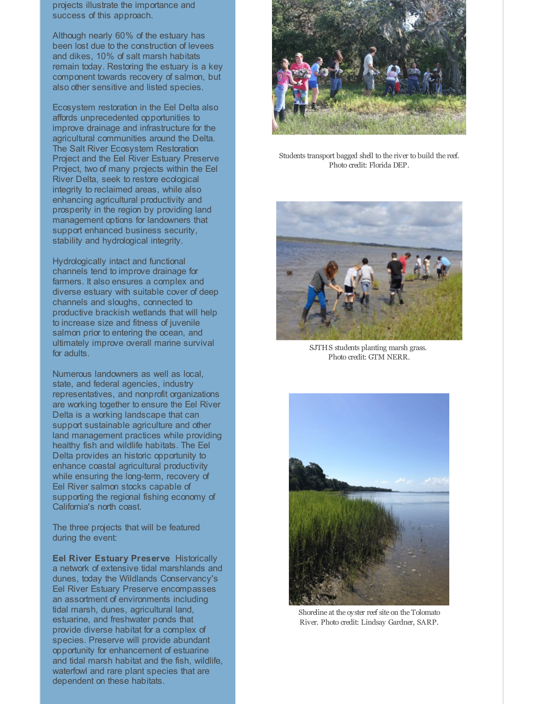projects illustrate the importance and success of this approach.

Although nearly 60% of the estuary has been lost due to the construction of levees and dikes, 10% of salt marsh habitats remain today. Restoring the estuary is a key component towards recovery of salmon, but also other sensitive and listed species.

Ecosystem restoration in the Eel Delta also affords unprecedented opportunities to improve drainage and infrastructure for the agricultural communities around the Delta. The Salt River Ecosystem Restoration Project and the Eel River Estuary Preserve Project, two of many projects within the Eel River Delta, seek to restore ecological integrity to reclaimed areas, while also enhancing agricultural productivity and prosperity in the region by providing land management options for landowners that support enhanced business security, stability and hydrological integrity.

Hydrologically intact and functional channels tend to improve drainage for farmers. It also ensures a complex and diverse estuary with suitable cover of deep channels and sloughs, connected to productive brackish wetlands that will help to increase size and fitness of juvenile salmon prior to entering the ocean, and ultimately improve overall marine survival for adults.

Numerous landowners as well as local, state, and federal agencies, industry representatives, and nonprofit organizations are working together to ensure the Eel River Delta is a working landscape that can support sustainable agriculture and other land management practices while providing healthy fish and wildlife habitats. The Eel Delta provides an historic opportunity to enhance coastal agricultural productivity while ensuring the long-term, recovery of Eel River salmon stocks capable of supporting the regional fishing economy of California's north coast.

The three projects that will be featured during the event:

**Eel River Estuary Preserve** Historically a network of extensive tidal marshlands and dunes, today the Wildlands Conservancy's Eel River Estuary Preserve encompasses an assortment of environments including tidal marsh, dunes, agricultural land, estuarine, and freshwater ponds that provide diverse habitat for a complex of species. Preserve will provide abundant opportunity for enhancement of estuarine and tidal marsh habitat and the fish, wildlife, waterfowl and rare plant species that are dependent on these habitats.



Students transport bagged shell to the river to build the reef. Photo credit: Florida DEP.



SJTHS students planting marsh grass. Photo credit: GTM NERR.



Shoreline at the oyster reef site on the Tolomato River. Photo credit: Lindsay Gardner, SARP.